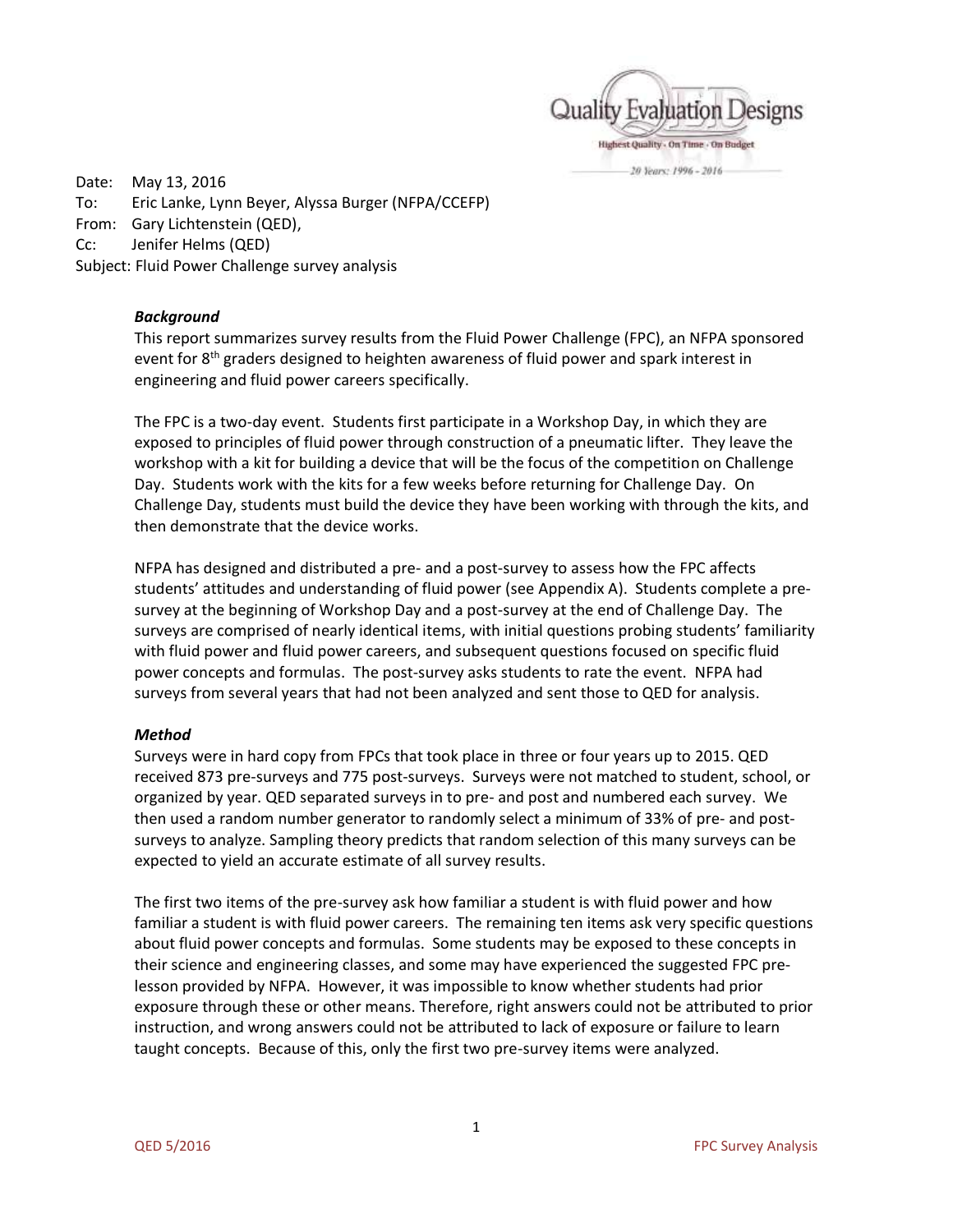

Date: May 13, 2016 To: Eric Lanke, Lynn Beyer, Alyssa Burger (NFPA/CCEFP) From: Gary Lichtenstein (QED), Cc: Jenifer Helms (QED) Subject: Fluid Power Challenge survey analysis

### *Background*

This report summarizes survey results from the Fluid Power Challenge (FPC), an NFPA sponsored event for 8<sup>th</sup> graders designed to heighten awareness of fluid power and spark interest in engineering and fluid power careers specifically.

The FPC is a two-day event. Students first participate in a Workshop Day, in which they are exposed to principles of fluid power through construction of a pneumatic lifter. They leave the workshop with a kit for building a device that will be the focus of the competition on Challenge Day. Students work with the kits for a few weeks before returning for Challenge Day. On Challenge Day, students must build the device they have been working with through the kits, and then demonstrate that the device works.

NFPA has designed and distributed a pre- and a post-survey to assess how the FPC affects students' attitudes and understanding of fluid power (see Appendix A). Students complete a presurvey at the beginning of Workshop Day and a post-survey at the end of Challenge Day. The surveys are comprised of nearly identical items, with initial questions probing students' familiarity with fluid power and fluid power careers, and subsequent questions focused on specific fluid power concepts and formulas. The post-survey asks students to rate the event. NFPA had surveys from several years that had not been analyzed and sent those to QED for analysis.

#### *Method*

Surveys were in hard copy from FPCs that took place in three or four years up to 2015. QED received 873 pre-surveys and 775 post-surveys. Surveys were not matched to student, school, or organized by year. QED separated surveys in to pre- and post and numbered each survey. We then used a random number generator to randomly select a minimum of 33% of pre- and postsurveys to analyze. Sampling theory predicts that random selection of this many surveys can be expected to yield an accurate estimate of all survey results.

The first two items of the pre-survey ask how familiar a student is with fluid power and how familiar a student is with fluid power careers. The remaining ten items ask very specific questions about fluid power concepts and formulas. Some students may be exposed to these concepts in their science and engineering classes, and some may have experienced the suggested FPC prelesson provided by NFPA. However, it was impossible to know whether students had prior exposure through these or other means. Therefore, right answers could not be attributed to prior instruction, and wrong answers could not be attributed to lack of exposure or failure to learn taught concepts. Because of this, only the first two pre-survey items were analyzed.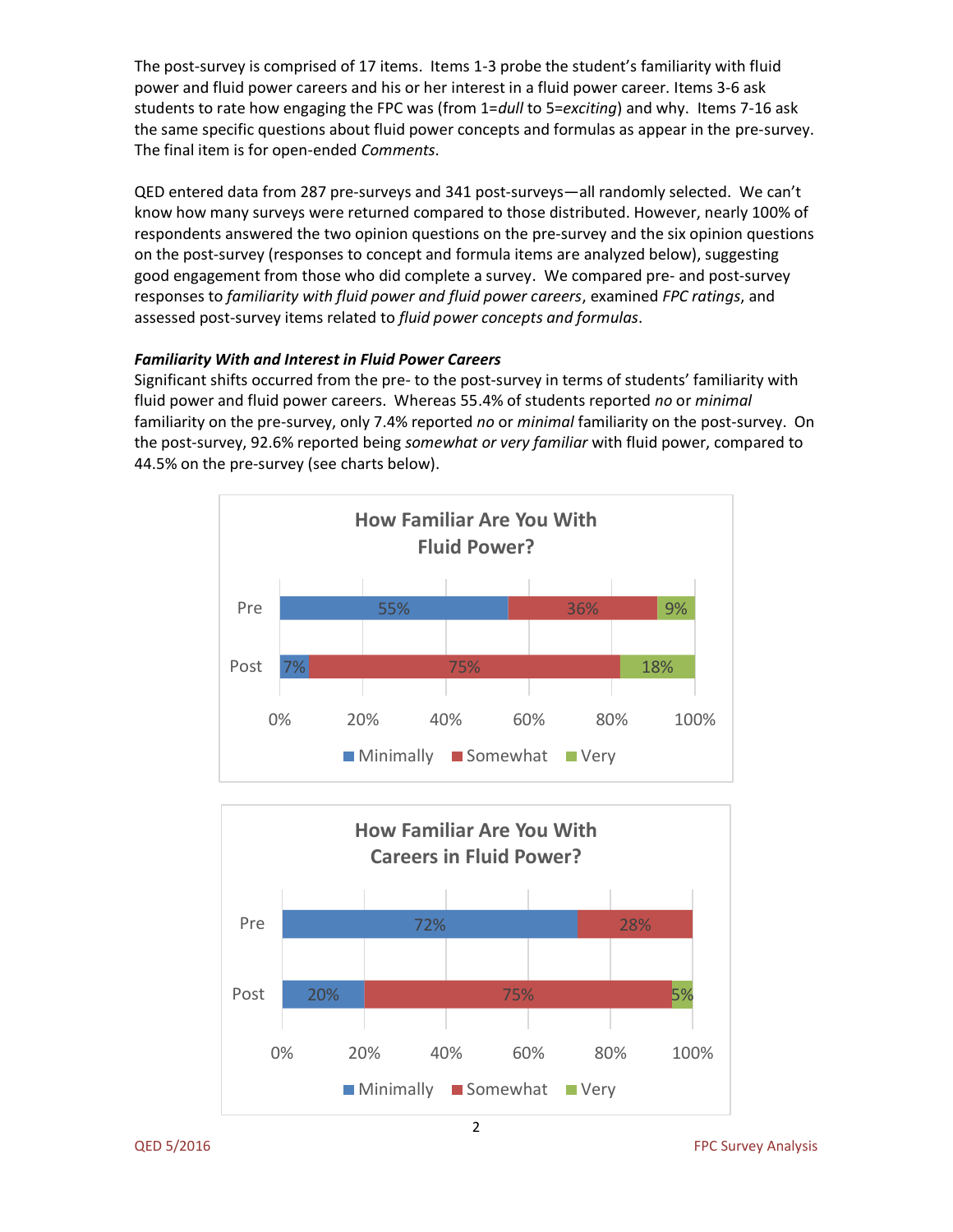The post-survey is comprised of 17 items. Items 1-3 probe the student's familiarity with fluid power and fluid power careers and his or her interest in a fluid power career. Items 3-6 ask students to rate how engaging the FPC was (from 1=*dull* to 5=*exciting*) and why. Items 7-16 ask the same specific questions about fluid power concepts and formulas as appear in the pre-survey. The final item is for open-ended *Comments*.

QED entered data from 287 pre-surveys and 341 post-surveys—all randomly selected. We can't know how many surveys were returned compared to those distributed. However, nearly 100% of respondents answered the two opinion questions on the pre-survey and the six opinion questions on the post-survey (responses to concept and formula items are analyzed below), suggesting good engagement from those who did complete a survey. We compared pre- and post-survey responses to *familiarity with fluid power and fluid power careers*, examined *FPC ratings*, and assessed post-survey items related to *fluid power concepts and formulas*.

## *Familiarity With and Interest in Fluid Power Careers*

Significant shifts occurred from the pre- to the post-survey in terms of students' familiarity with fluid power and fluid power careers. Whereas 55.4% of students reported *no* or *minimal* familiarity on the pre-survey, only 7.4% reported *no* or *minimal* familiarity on the post-survey. On the post-survey, 92.6% reported being *somewhat or very familiar* with fluid power, compared to 44.5% on the pre-survey (see charts below).



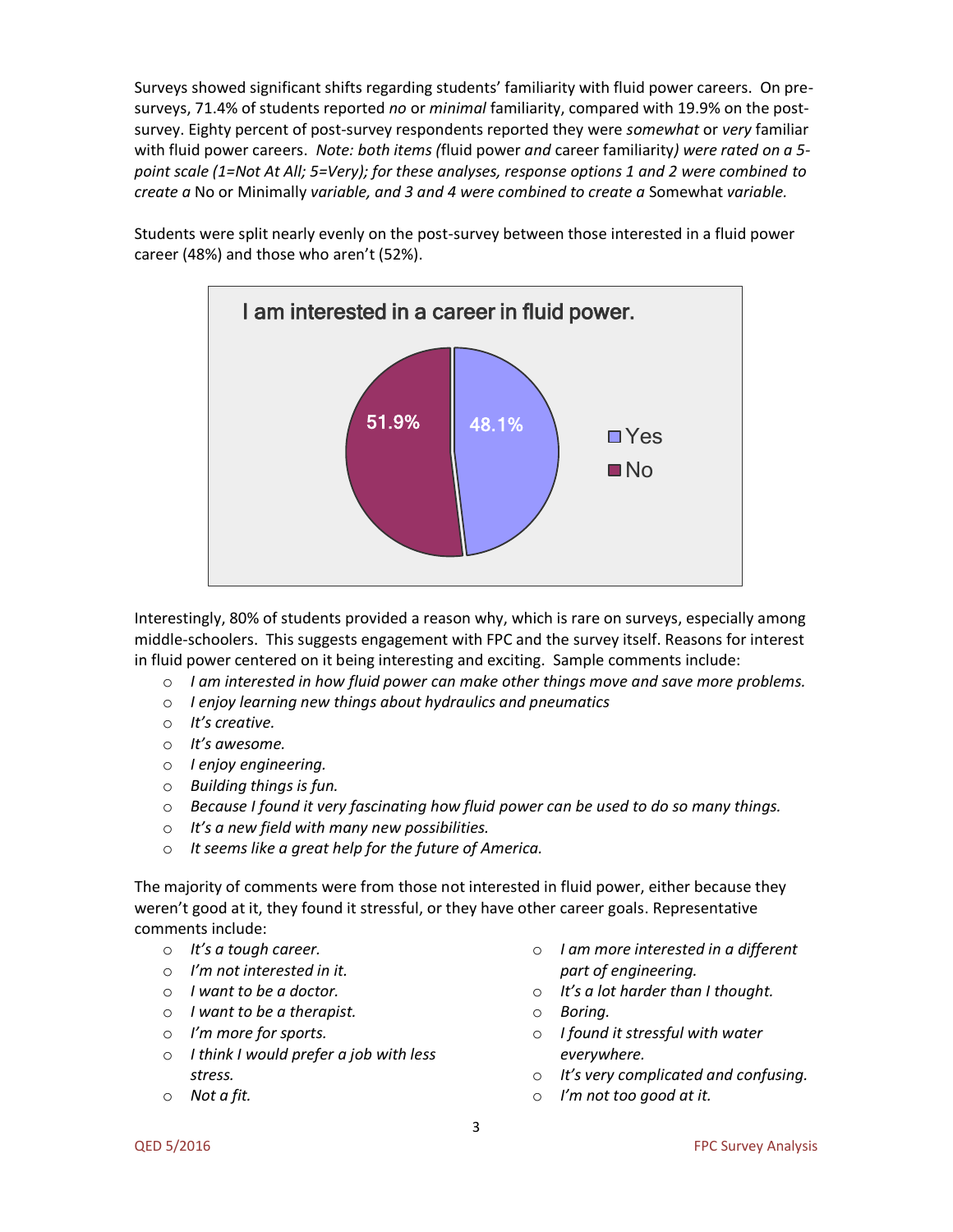Surveys showed significant shifts regarding students' familiarity with fluid power careers. On presurveys, 71.4% of students reported *no* or *minimal* familiarity, compared with 19.9% on the postsurvey. Eighty percent of post-survey respondents reported they were *somewhat* or *very* familiar with fluid power careers. *Note: both items (*fluid power *and* career familiarity*) were rated on a 5 point scale (1=Not At All; 5=Very); for these analyses, response options 1 and 2 were combined to create a* No or Minimally *variable, and 3 and 4 were combined to create a* Somewhat *variable.*

Students were split nearly evenly on the post-survey between those interested in a fluid power career (48%) and those who aren't (52%).



Interestingly, 80% of students provided a reason why, which is rare on surveys, especially among middle-schoolers. This suggests engagement with FPC and the survey itself. Reasons for interest in fluid power centered on it being interesting and exciting. Sample comments include:

- o *I am interested in how fluid power can make other things move and save more problems.*
- o *I enjoy learning new things about hydraulics and pneumatics*
- o *It's creative.*
- o *It's awesome.*
- o *I enjoy engineering.*
- o *Building things is fun.*
- o *Because I found it very fascinating how fluid power can be used to do so many things.*
- o *It's a new field with many new possibilities.*
- o *It seems like a great help for the future of America.*

The majority of comments were from those not interested in fluid power, either because they weren't good at it, they found it stressful, or they have other career goals. Representative comments include:

- o *It's a tough career.*
- o *I'm not interested in it.*
- o *I want to be a doctor.*
- o *I want to be a therapist.*
- o *I'm more for sports.*
- o *I think I would prefer a job with less stress.*
- o *Not a fit.*
- o *I am more interested in a different part of engineering.*
- o *It's a lot harder than I thought.*
- o *Boring.*
- o *I found it stressful with water everywhere.*
- o *It's very complicated and confusing.*
- o *I'm not too good at it.*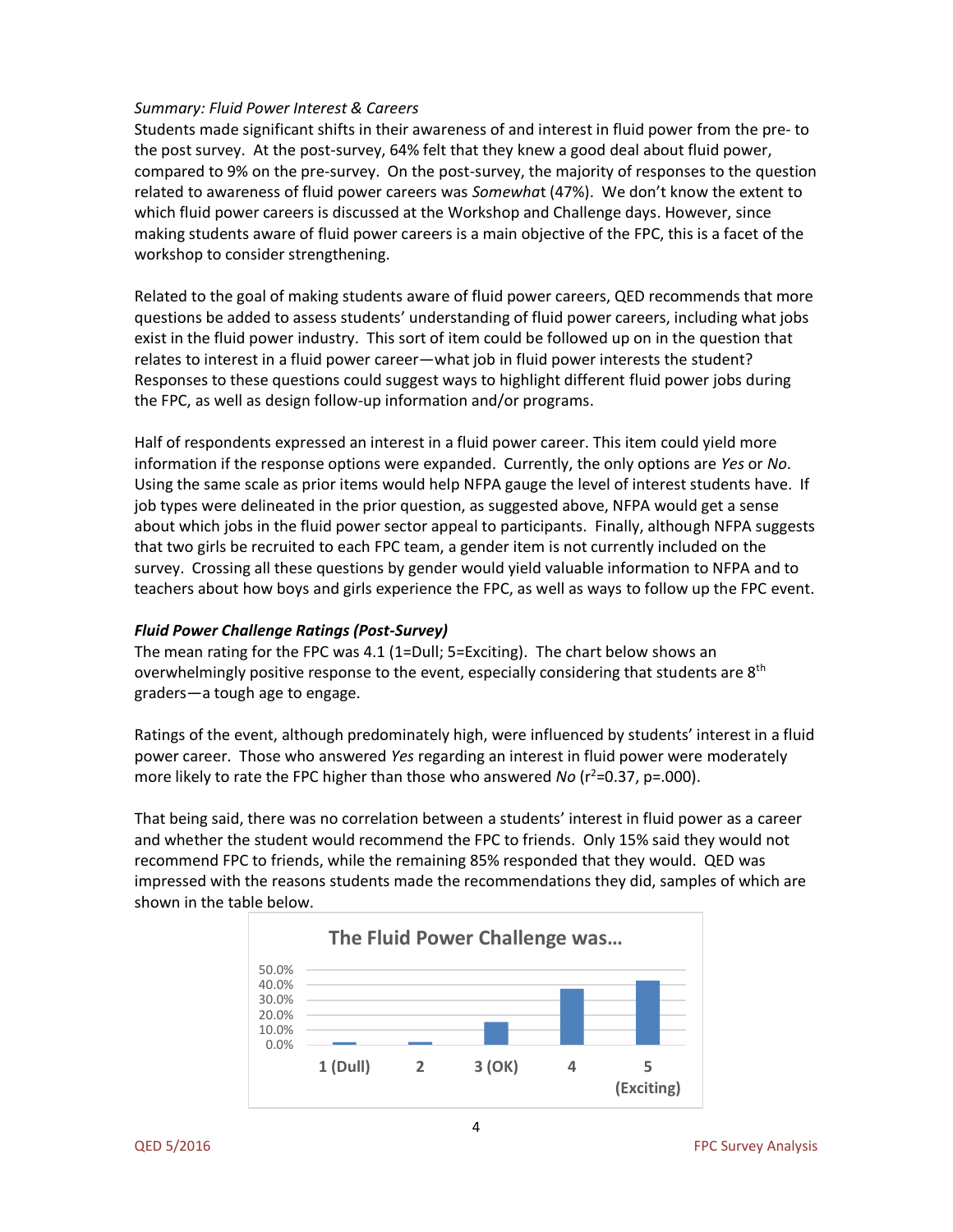### *Summary: Fluid Power Interest & Careers*

Students made significant shifts in their awareness of and interest in fluid power from the pre- to the post survey. At the post-survey, 64% felt that they knew a good deal about fluid power, compared to 9% on the pre-survey. On the post-survey, the majority of responses to the question related to awareness of fluid power careers was *Somewha*t (47%). We don't know the extent to which fluid power careers is discussed at the Workshop and Challenge days. However, since making students aware of fluid power careers is a main objective of the FPC, this is a facet of the workshop to consider strengthening.

Related to the goal of making students aware of fluid power careers, QED recommends that more questions be added to assess students' understanding of fluid power careers, including what jobs exist in the fluid power industry. This sort of item could be followed up on in the question that relates to interest in a fluid power career—what job in fluid power interests the student? Responses to these questions could suggest ways to highlight different fluid power jobs during the FPC, as well as design follow-up information and/or programs.

Half of respondents expressed an interest in a fluid power career. This item could yield more information if the response options were expanded. Currently, the only options are *Yes* or *No*. Using the same scale as prior items would help NFPA gauge the level of interest students have. If job types were delineated in the prior question, as suggested above, NFPA would get a sense about which jobs in the fluid power sector appeal to participants. Finally, although NFPA suggests that two girls be recruited to each FPC team, a gender item is not currently included on the survey. Crossing all these questions by gender would yield valuable information to NFPA and to teachers about how boys and girls experience the FPC, as well as ways to follow up the FPC event.

## *Fluid Power Challenge Ratings (Post-Survey)*

The mean rating for the FPC was 4.1 (1=Dull; 5=Exciting). The chart below shows an overwhelmingly positive response to the event, especially considering that students are 8<sup>th</sup> graders—a tough age to engage.

Ratings of the event, although predominately high, were influenced by students' interest in a fluid power career. Those who answered *Yes* regarding an interest in fluid power were moderately more likely to rate the FPC higher than those who answered *No* (r<sup>2</sup>=0.37, p=.000).

That being said, there was no correlation between a students' interest in fluid power as a career and whether the student would recommend the FPC to friends. Only 15% said they would not recommend FPC to friends, while the remaining 85% responded that they would. QED was impressed with the reasons students made the recommendations they did, samples of which are shown in the table below.



4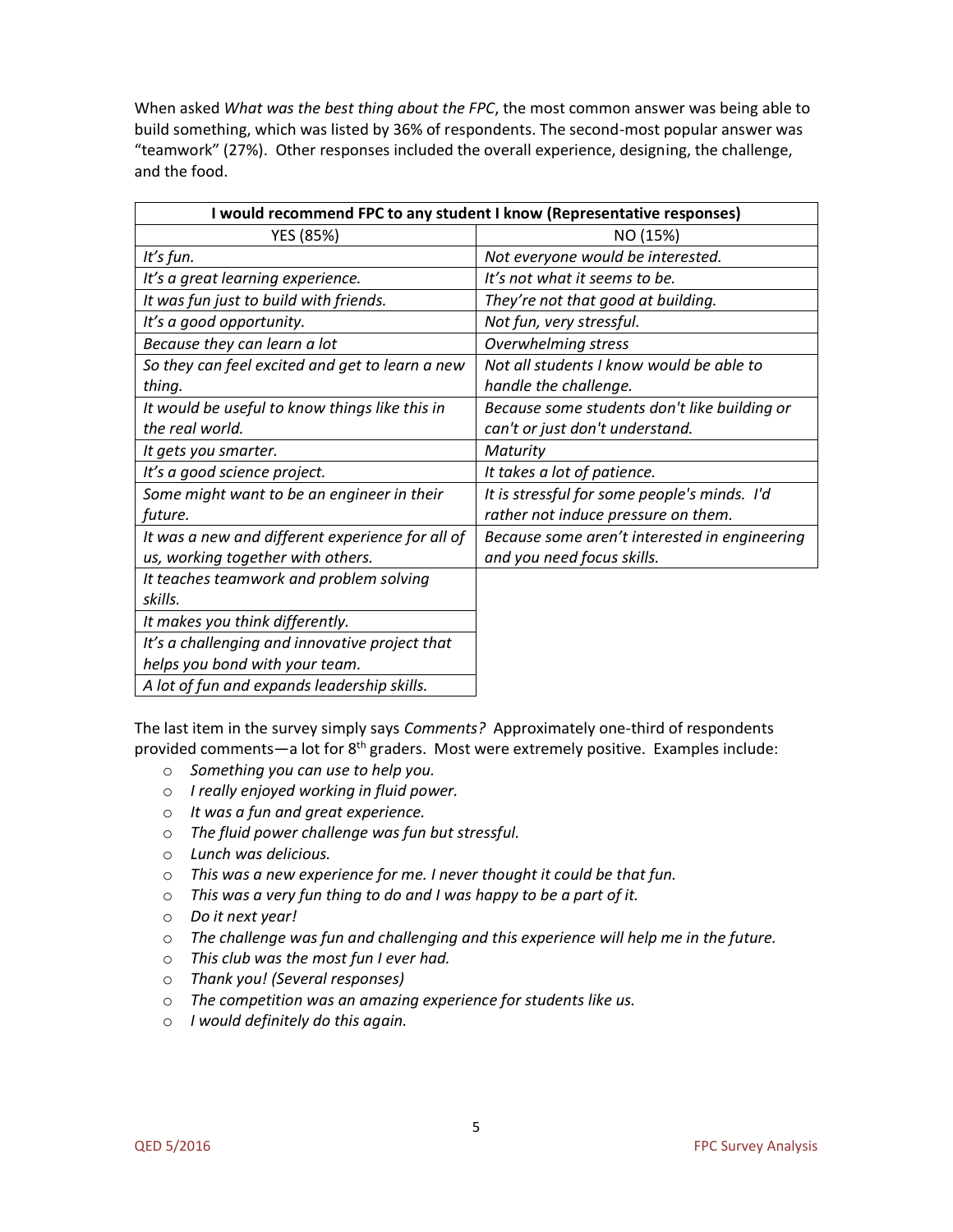When asked *What was the best thing about the FPC*, the most common answer was being able to build something, which was listed by 36% of respondents. The second-most popular answer was "teamwork" (27%). Other responses included the overall experience, designing, the challenge, and the food.

| I would recommend FPC to any student I know (Representative responses) |                                               |  |  |  |  |
|------------------------------------------------------------------------|-----------------------------------------------|--|--|--|--|
| YES (85%)                                                              | NO (15%)                                      |  |  |  |  |
| It's fun.                                                              | Not everyone would be interested.             |  |  |  |  |
| It's a great learning experience.                                      | It's not what it seems to be.                 |  |  |  |  |
| It was fun just to build with friends.                                 | They're not that good at building.            |  |  |  |  |
| It's a good opportunity.                                               | Not fun, very stressful.                      |  |  |  |  |
| Because they can learn a lot                                           | <b>Overwhelming stress</b>                    |  |  |  |  |
| So they can feel excited and get to learn a new                        | Not all students I know would be able to      |  |  |  |  |
| thing.                                                                 | handle the challenge.                         |  |  |  |  |
| It would be useful to know things like this in                         | Because some students don't like building or  |  |  |  |  |
| the real world.                                                        | can't or just don't understand.               |  |  |  |  |
| It gets you smarter.                                                   | Maturity                                      |  |  |  |  |
| It's a good science project.                                           | It takes a lot of patience.                   |  |  |  |  |
| Some might want to be an engineer in their                             | It is stressful for some people's minds. I'd  |  |  |  |  |
| future.                                                                | rather not induce pressure on them.           |  |  |  |  |
| It was a new and different experience for all of                       | Because some aren't interested in engineering |  |  |  |  |
| us, working together with others.                                      | and you need focus skills.                    |  |  |  |  |
| It teaches teamwork and problem solving                                |                                               |  |  |  |  |
| skills.                                                                |                                               |  |  |  |  |
| It makes you think differently.                                        |                                               |  |  |  |  |
| It's a challenging and innovative project that                         |                                               |  |  |  |  |
| helps you bond with your team.                                         |                                               |  |  |  |  |
| A lot of fun and expands leadership skills.                            |                                               |  |  |  |  |

The last item in the survey simply says *Comments?* Approximately one-third of respondents provided comments—a lot for  $8<sup>th</sup>$  graders. Most were extremely positive. Examples include:

- o *Something you can use to help you.*
- o *I really enjoyed working in fluid power.*
- o *It was a fun and great experience.*
- o *The fluid power challenge was fun but stressful.*
- o *Lunch was delicious.*
- o *This was a new experience for me. I never thought it could be that fun.*
- o *This was a very fun thing to do and I was happy to be a part of it.*
- o *Do it next year!*
- o *The challenge was fun and challenging and this experience will help me in the future.*
- o *This club was the most fun I ever had.*
- o *Thank you! (Several responses)*
- o *The competition was an amazing experience for students like us.*
- o *I would definitely do this again.*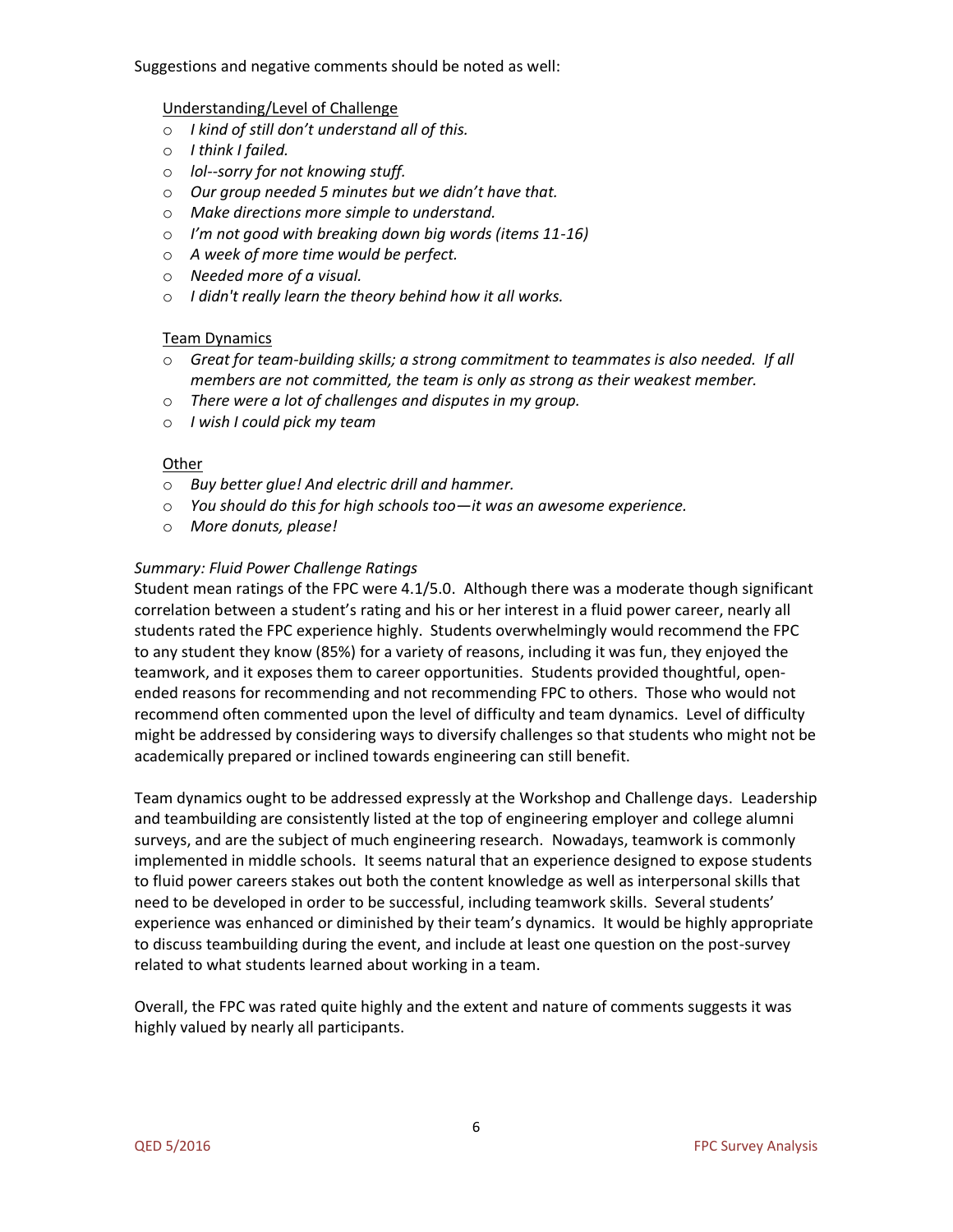Suggestions and negative comments should be noted as well:

## Understanding/Level of Challenge

- o *I kind of still don't understand all of this.*
- o *I think I failed.*
- o *lol--sorry for not knowing stuff.*
- o *Our group needed 5 minutes but we didn't have that.*
- o *Make directions more simple to understand.*
- o *I'm not good with breaking down big words (items 11-16)*
- o *A week of more time would be perfect.*
- o *Needed more of a visual.*
- o *I didn't really learn the theory behind how it all works.*

# Team Dynamics

- o *Great for team-building skills; a strong commitment to teammates is also needed. If all members are not committed, the team is only as strong as their weakest member.*
- o *There were a lot of challenges and disputes in my group.*
- o *I wish I could pick my team*

## **Other**

- o *Buy better glue! And electric drill and hammer.*
- o *You should do this for high schools too—it was an awesome experience.*
- o *More donuts, please!*

# *Summary: Fluid Power Challenge Ratings*

Student mean ratings of the FPC were 4.1/5.0. Although there was a moderate though significant correlation between a student's rating and his or her interest in a fluid power career, nearly all students rated the FPC experience highly. Students overwhelmingly would recommend the FPC to any student they know (85%) for a variety of reasons, including it was fun, they enjoyed the teamwork, and it exposes them to career opportunities. Students provided thoughtful, openended reasons for recommending and not recommending FPC to others. Those who would not recommend often commented upon the level of difficulty and team dynamics. Level of difficulty might be addressed by considering ways to diversify challenges so that students who might not be academically prepared or inclined towards engineering can still benefit.

Team dynamics ought to be addressed expressly at the Workshop and Challenge days. Leadership and teambuilding are consistently listed at the top of engineering employer and college alumni surveys, and are the subject of much engineering research. Nowadays, teamwork is commonly implemented in middle schools. It seems natural that an experience designed to expose students to fluid power careers stakes out both the content knowledge as well as interpersonal skills that need to be developed in order to be successful, including teamwork skills. Several students' experience was enhanced or diminished by their team's dynamics. It would be highly appropriate to discuss teambuilding during the event, and include at least one question on the post-survey related to what students learned about working in a team.

Overall, the FPC was rated quite highly and the extent and nature of comments suggests it was highly valued by nearly all participants.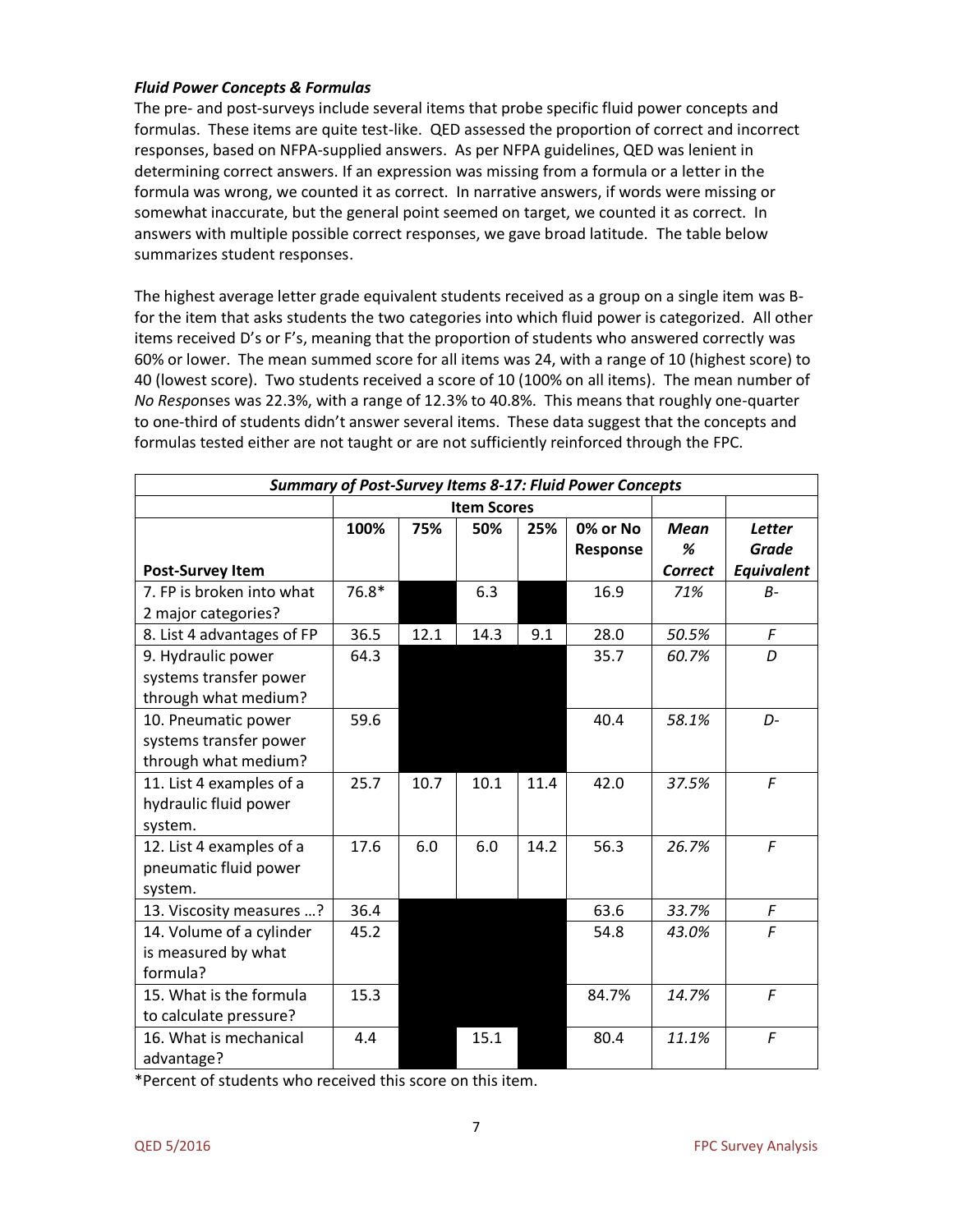### *Fluid Power Concepts & Formulas*

The pre- and post-surveys include several items that probe specific fluid power concepts and formulas. These items are quite test-like. QED assessed the proportion of correct and incorrect responses, based on NFPA-supplied answers. As per NFPA guidelines, QED was lenient in determining correct answers. If an expression was missing from a formula or a letter in the formula was wrong, we counted it as correct. In narrative answers, if words were missing or somewhat inaccurate, but the general point seemed on target, we counted it as correct. In answers with multiple possible correct responses, we gave broad latitude. The table below summarizes student responses.

The highest average letter grade equivalent students received as a group on a single item was Bfor the item that asks students the two categories into which fluid power is categorized. All other items received D's or F's, meaning that the proportion of students who answered correctly was 60% or lower. The mean summed score for all items was 24, with a range of 10 (highest score) to 40 (lowest score). Two students received a score of 10 (100% on all items). The mean number of *No Respo*nses was 22.3%, with a range of 12.3% to 40.8%. This means that roughly one-quarter to one-third of students didn't answer several items. These data suggest that the concepts and formulas tested either are not taught or are not sufficiently reinforced through the FPC.

| <b>Summary of Post-Survey Items 8-17: Fluid Power Concepts</b>        |                    |      |      |      |                      |                                    |                                             |  |
|-----------------------------------------------------------------------|--------------------|------|------|------|----------------------|------------------------------------|---------------------------------------------|--|
|                                                                       | <b>Item Scores</b> |      |      |      |                      |                                    |                                             |  |
| <b>Post-Survey Item</b>                                               | 100%               | 75%  | 50%  | 25%  | 0% or No<br>Response | <b>Mean</b><br>%<br><b>Correct</b> | <b>Letter</b><br><b>Grade</b><br>Equivalent |  |
| 7. FP is broken into what<br>2 major categories?                      | 76.8*              |      | 6.3  |      | 16.9                 | 71%                                | $B -$                                       |  |
| 8. List 4 advantages of FP                                            | 36.5               | 12.1 | 14.3 | 9.1  | 28.0                 | 50.5%                              | F                                           |  |
| 9. Hydraulic power<br>systems transfer power<br>through what medium?  | 64.3               |      |      |      | 35.7                 | 60.7%                              | D                                           |  |
| 10. Pneumatic power<br>systems transfer power<br>through what medium? | 59.6               |      |      |      | 40.4                 | 58.1%                              | $D-$                                        |  |
| 11. List 4 examples of a<br>hydraulic fluid power<br>system.          | 25.7               | 10.7 | 10.1 | 11.4 | 42.0                 | 37.5%                              | F                                           |  |
| 12. List 4 examples of a<br>pneumatic fluid power<br>system.          | 17.6               | 6.0  | 6.0  | 14.2 | 56.3                 | 26.7%                              | F                                           |  |
| 13. Viscosity measures ?                                              | 36.4               |      |      |      | 63.6                 | 33.7%                              | $\digamma$                                  |  |
| 14. Volume of a cylinder<br>is measured by what<br>formula?           | 45.2               |      |      |      | 54.8                 | 43.0%                              | $\mathcal{F}$                               |  |
| 15. What is the formula<br>to calculate pressure?                     | 15.3               |      |      |      | 84.7%                | 14.7%                              | $\sqrt{F}$                                  |  |
| 16. What is mechanical<br>advantage?                                  | 4.4                |      | 15.1 |      | 80.4                 | 11.1%                              | $\mathcal{F}$                               |  |

\*Percent of students who received this score on this item.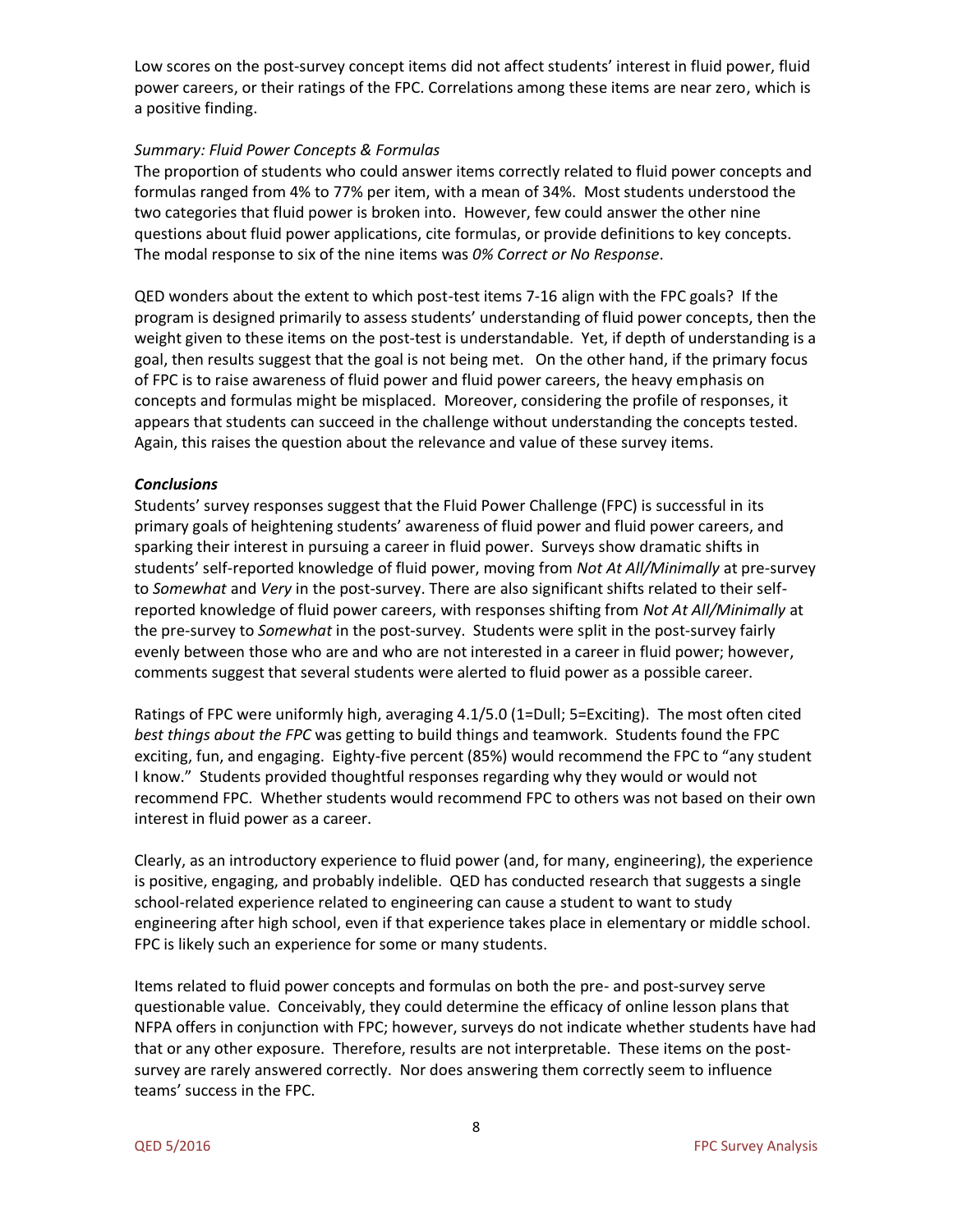Low scores on the post-survey concept items did not affect students' interest in fluid power, fluid power careers, or their ratings of the FPC. Correlations among these items are near zero, which is a positive finding.

### *Summary: Fluid Power Concepts & Formulas*

The proportion of students who could answer items correctly related to fluid power concepts and formulas ranged from 4% to 77% per item, with a mean of 34%. Most students understood the two categories that fluid power is broken into. However, few could answer the other nine questions about fluid power applications, cite formulas, or provide definitions to key concepts. The modal response to six of the nine items was *0% Correct or No Response*.

QED wonders about the extent to which post-test items 7-16 align with the FPC goals? If the program is designed primarily to assess students' understanding of fluid power concepts, then the weight given to these items on the post-test is understandable. Yet, if depth of understanding is a goal, then results suggest that the goal is not being met. On the other hand, if the primary focus of FPC is to raise awareness of fluid power and fluid power careers, the heavy emphasis on concepts and formulas might be misplaced. Moreover, considering the profile of responses, it appears that students can succeed in the challenge without understanding the concepts tested. Again, this raises the question about the relevance and value of these survey items.

### *Conclusions*

Students' survey responses suggest that the Fluid Power Challenge (FPC) is successful in its primary goals of heightening students' awareness of fluid power and fluid power careers, and sparking their interest in pursuing a career in fluid power. Surveys show dramatic shifts in students' self-reported knowledge of fluid power, moving from *Not At All/Minimally* at pre-survey to *Somewhat* and *Very* in the post-survey. There are also significant shifts related to their selfreported knowledge of fluid power careers, with responses shifting from *Not At All/Minimally* at the pre-survey to *Somewhat* in the post-survey. Students were split in the post-survey fairly evenly between those who are and who are not interested in a career in fluid power; however, comments suggest that several students were alerted to fluid power as a possible career.

Ratings of FPC were uniformly high, averaging 4.1/5.0 (1=Dull; 5=Exciting). The most often cited *best things about the FPC* was getting to build things and teamwork. Students found the FPC exciting, fun, and engaging. Eighty-five percent (85%) would recommend the FPC to "any student I know." Students provided thoughtful responses regarding why they would or would not recommend FPC. Whether students would recommend FPC to others was not based on their own interest in fluid power as a career.

Clearly, as an introductory experience to fluid power (and, for many, engineering), the experience is positive, engaging, and probably indelible. QED has conducted research that suggests a single school-related experience related to engineering can cause a student to want to study engineering after high school, even if that experience takes place in elementary or middle school. FPC is likely such an experience for some or many students.

Items related to fluid power concepts and formulas on both the pre- and post-survey serve questionable value. Conceivably, they could determine the efficacy of online lesson plans that NFPA offers in conjunction with FPC; however, surveys do not indicate whether students have had that or any other exposure. Therefore, results are not interpretable. These items on the postsurvey are rarely answered correctly. Nor does answering them correctly seem to influence teams' success in the FPC.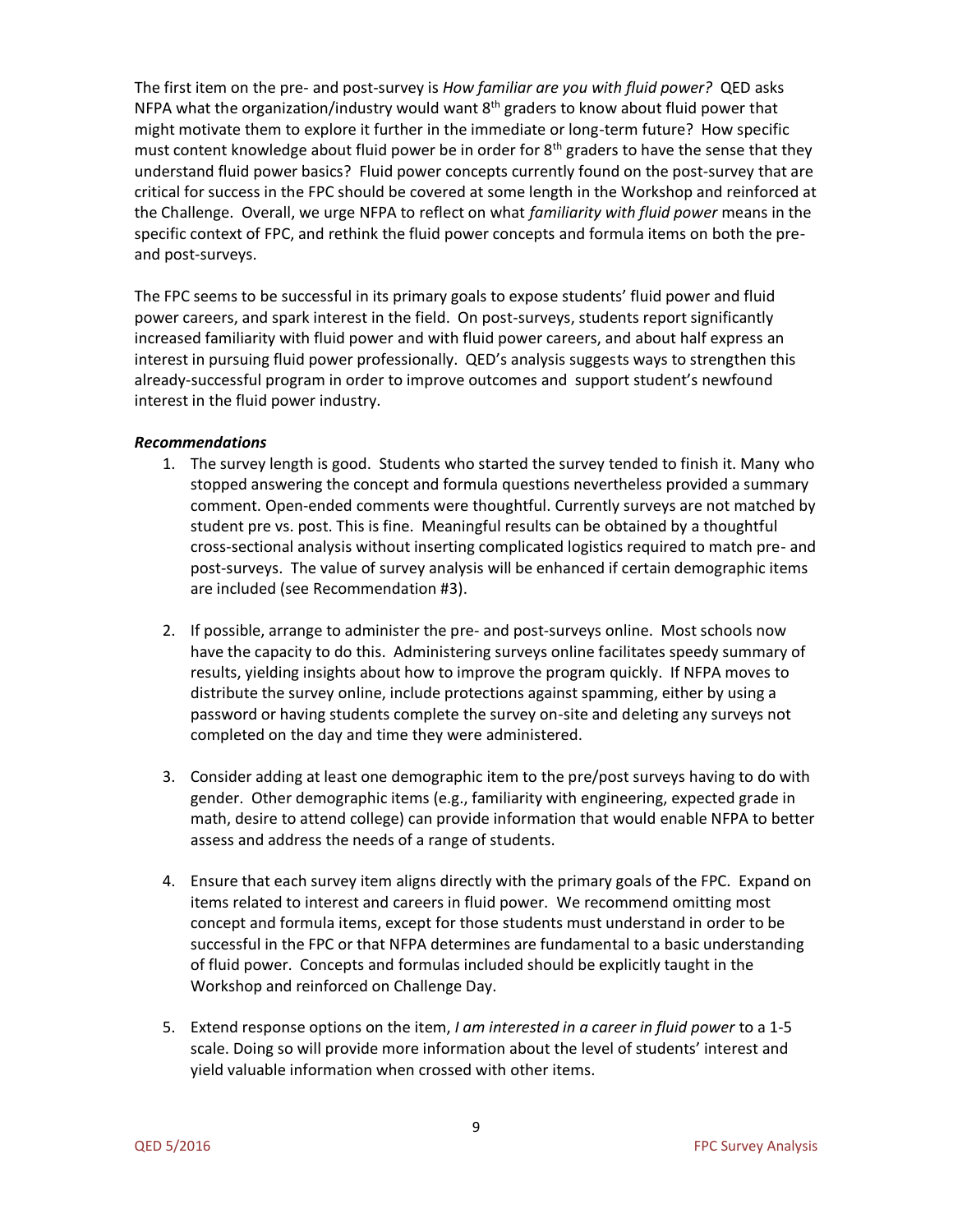The first item on the pre- and post-survey is *How familiar are you with fluid power?* QED asks NFPA what the organization/industry would want 8<sup>th</sup> graders to know about fluid power that might motivate them to explore it further in the immediate or long-term future? How specific must content knowledge about fluid power be in order for  $8<sup>th</sup>$  graders to have the sense that they understand fluid power basics? Fluid power concepts currently found on the post-survey that are critical for success in the FPC should be covered at some length in the Workshop and reinforced at the Challenge. Overall, we urge NFPA to reflect on what *familiarity with fluid power* means in the specific context of FPC, and rethink the fluid power concepts and formula items on both the preand post-surveys.

The FPC seems to be successful in its primary goals to expose students' fluid power and fluid power careers, and spark interest in the field. On post-surveys, students report significantly increased familiarity with fluid power and with fluid power careers, and about half express an interest in pursuing fluid power professionally. QED's analysis suggests ways to strengthen this already-successful program in order to improve outcomes and support student's newfound interest in the fluid power industry.

### *Recommendations*

- 1. The survey length is good. Students who started the survey tended to finish it. Many who stopped answering the concept and formula questions nevertheless provided a summary comment. Open-ended comments were thoughtful. Currently surveys are not matched by student pre vs. post. This is fine. Meaningful results can be obtained by a thoughtful cross-sectional analysis without inserting complicated logistics required to match pre- and post-surveys. The value of survey analysis will be enhanced if certain demographic items are included (see Recommendation #3).
- 2. If possible, arrange to administer the pre- and post-surveys online. Most schools now have the capacity to do this. Administering surveys online facilitates speedy summary of results, yielding insights about how to improve the program quickly. If NFPA moves to distribute the survey online, include protections against spamming, either by using a password or having students complete the survey on-site and deleting any surveys not completed on the day and time they were administered.
- 3. Consider adding at least one demographic item to the pre/post surveys having to do with gender. Other demographic items (e.g., familiarity with engineering, expected grade in math, desire to attend college) can provide information that would enable NFPA to better assess and address the needs of a range of students.
- 4. Ensure that each survey item aligns directly with the primary goals of the FPC. Expand on items related to interest and careers in fluid power. We recommend omitting most concept and formula items, except for those students must understand in order to be successful in the FPC or that NFPA determines are fundamental to a basic understanding of fluid power. Concepts and formulas included should be explicitly taught in the Workshop and reinforced on Challenge Day.
- 5. Extend response options on the item, *I am interested in a career in fluid power* to a 1-5 scale. Doing so will provide more information about the level of students' interest and yield valuable information when crossed with other items.